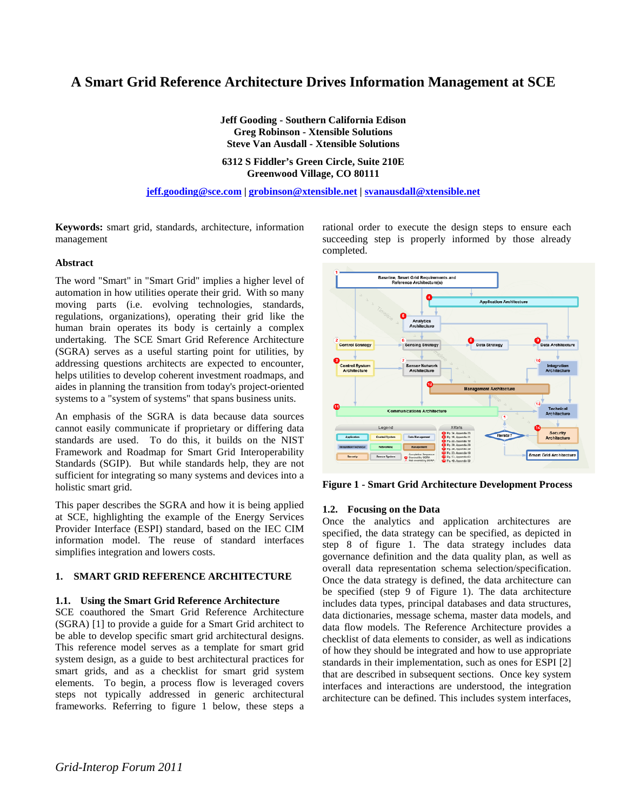# **A Smart Grid Reference Architecture Drives Information Management at SCE**

**Jeff Gooding - Southern California Edison Greg Robinson - Xtensible Solutions Steve Van Ausdall - Xtensible Solutions** 

**6312 S Fiddler's Green Circle, Suite 210E Greenwood Village, CO 80111** 

**jeff.gooding@sce.com | grobinson@xtensible.net | svanausdall@xtensible.net**

**Keywords:** smart grid, standards, architecture, information management

### **Abstract**

The word "Smart" in "Smart Grid" implies a higher level of automation in how utilities operate their grid. With so many moving parts (i.e. evolving technologies, standards, regulations, organizations), operating their grid like the human brain operates its body is certainly a complex undertaking. The SCE Smart Grid Reference Architecture (SGRA) serves as a useful starting point for utilities, by addressing questions architects are expected to encounter, helps utilities to develop coherent investment roadmaps, and aides in planning the transition from today's project-oriented systems to a "system of systems" that spans business units.

An emphasis of the SGRA is data because data sources cannot easily communicate if proprietary or differing data standards are used. To do this, it builds on the NIST Framework and Roadmap for Smart Grid Interoperability Standards (SGIP). But while standards help, they are not sufficient for integrating so many systems and devices into a holistic smart grid.

This paper describes the SGRA and how it is being applied at SCE, highlighting the example of the Energy Services Provider Interface (ESPI) standard, based on the IEC CIM information model. The reuse of standard interfaces simplifies integration and lowers costs.

## **1. SMART GRID REFERENCE ARCHITECTURE**

### **1.1. Using the Smart Grid Reference Architecture**

SCE coauthored the Smart Grid Reference Architecture (SGRA) [1] to provide a guide for a Smart Grid architect to be able to develop specific smart grid architectural designs. This reference model serves as a template for smart grid system design, as a guide to best architectural practices for smart grids, and as a checklist for smart grid system elements. To begin, a process flow is leveraged covers steps not typically addressed in generic architectural frameworks. Referring to figure 1 below, these steps a

rational order to execute the design steps to ensure each succeeding step is properly informed by those already completed.



**Figure 1 - Smart Grid Architecture Development Process** 

# **1.2. Focusing on the Data**

Once the analytics and application architectures are specified, the data strategy can be specified, as depicted in step 8 of figure 1. The data strategy includes data governance definition and the data quality plan, as well as overall data representation schema selection/specification. Once the data strategy is defined, the data architecture can be specified (step 9 of Figure 1). The data architecture includes data types, principal databases and data structures, data dictionaries, message schema, master data models, and data flow models. The Reference Architecture provides a checklist of data elements to consider, as well as indications of how they should be integrated and how to use appropriate standards in their implementation, such as ones for ESPI [2] that are described in subsequent sections. Once key system interfaces and interactions are understood, the integration architecture can be defined. This includes system interfaces,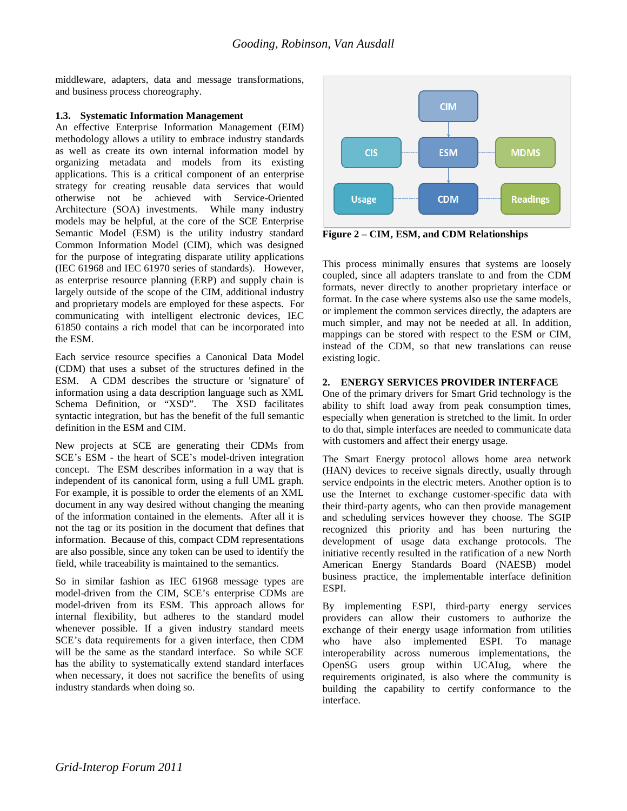middleware, adapters, data and message transformations, and business process choreography.

# **1.3. Systematic Information Management**

An effective Enterprise Information Management (EIM) methodology allows a utility to embrace industry standards as well as create its own internal information model by organizing metadata and models from its existing applications. This is a critical component of an enterprise strategy for creating reusable data services that would otherwise not be achieved with Service-Oriented Architecture (SOA) investments. While many industry models may be helpful, at the core of the SCE Enterprise Semantic Model (ESM) is the utility industry standard Common Information Model (CIM), which was designed for the purpose of integrating disparate utility applications (IEC 61968 and IEC 61970 series of standards). However, as enterprise resource planning (ERP) and supply chain is largely outside of the scope of the CIM, additional industry and proprietary models are employed for these aspects. For communicating with intelligent electronic devices, IEC 61850 contains a rich model that can be incorporated into the ESM.

Each service resource specifies a Canonical Data Model (CDM) that uses a subset of the structures defined in the ESM. A CDM describes the structure or 'signature' of information using a data description language such as XML Schema Definition, or "XSD". The XSD facilitates syntactic integration, but has the benefit of the full semantic definition in the ESM and CIM.

New projects at SCE are generating their CDMs from SCE's ESM - the heart of SCE's model-driven integration concept. The ESM describes information in a way that is independent of its canonical form, using a full UML graph. For example, it is possible to order the elements of an XML document in any way desired without changing the meaning of the information contained in the elements. After all it is not the tag or its position in the document that defines that information. Because of this, compact CDM representations are also possible, since any token can be used to identify the field, while traceability is maintained to the semantics.

So in similar fashion as IEC 61968 message types are model-driven from the CIM, SCE's enterprise CDMs are model-driven from its ESM. This approach allows for internal flexibility, but adheres to the standard model whenever possible. If a given industry standard meets SCE's data requirements for a given interface, then CDM will be the same as the standard interface. So while SCE has the ability to systematically extend standard interfaces when necessary, it does not sacrifice the benefits of using industry standards when doing so.



**Figure 2 – CIM, ESM, and CDM Relationships** 

This process minimally ensures that systems are loosely coupled, since all adapters translate to and from the CDM formats, never directly to another proprietary interface or format. In the case where systems also use the same models, or implement the common services directly, the adapters are much simpler, and may not be needed at all. In addition, mappings can be stored with respect to the ESM or CIM, instead of the CDM, so that new translations can reuse existing logic.

# **2. ENERGY SERVICES PROVIDER INTERFACE**

One of the primary drivers for Smart Grid technology is the ability to shift load away from peak consumption times, especially when generation is stretched to the limit. In order to do that, simple interfaces are needed to communicate data with customers and affect their energy usage.

The Smart Energy protocol allows home area network (HAN) devices to receive signals directly, usually through service endpoints in the electric meters. Another option is to use the Internet to exchange customer-specific data with their third-party agents, who can then provide management and scheduling services however they choose. The SGIP recognized this priority and has been nurturing the development of usage data exchange protocols. The initiative recently resulted in the ratification of a new North American Energy Standards Board (NAESB) model business practice, the implementable interface definition ESPI.

By implementing ESPI, third-party energy services providers can allow their customers to authorize the exchange of their energy usage information from utilities who have also implemented ESPI. To manage interoperability across numerous implementations, the OpenSG users group within UCAIug, where the requirements originated, is also where the community is building the capability to certify conformance to the interface.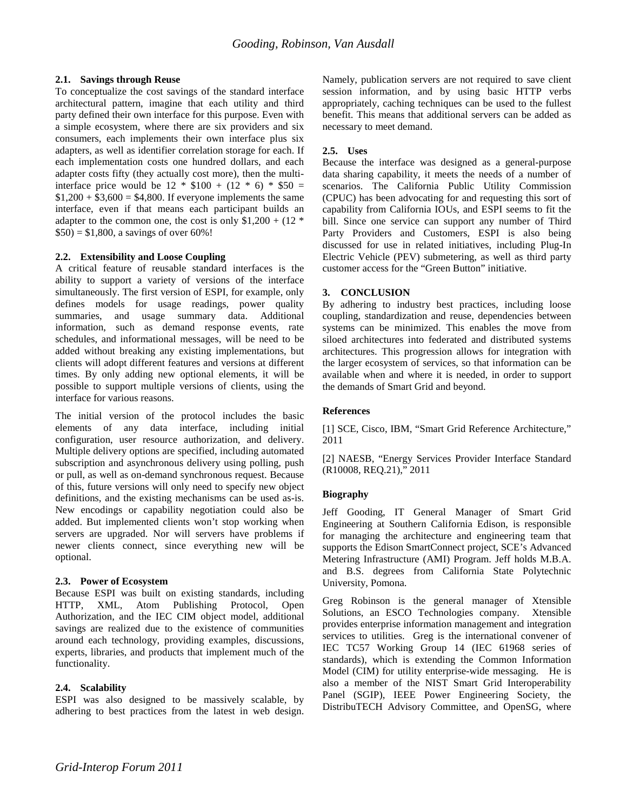## **2.1. Savings through Reuse**

To conceptualize the cost savings of the standard interface architectural pattern, imagine that each utility and third party defined their own interface for this purpose. Even with a simple ecosystem, where there are six providers and six consumers, each implements their own interface plus six adapters, as well as identifier correlation storage for each. If each implementation costs one hundred dollars, and each adapter costs fifty (they actually cost more), then the multiinterface price would be  $12 * $100 + (12 * 6) * $50 =$  $$1,200 + $3,600 = $4,800$ . If everyone implements the same interface, even if that means each participant builds an adapter to the common one, the cost is only  $$1,200 + (12^*)$  $$50$ ) = \$1,800, a savings of over 60%!

## **2.2. Extensibility and Loose Coupling**

A critical feature of reusable standard interfaces is the ability to support a variety of versions of the interface simultaneously. The first version of ESPI, for example, only defines models for usage readings, power quality summaries, and usage summary data. Additional information, such as demand response events, rate schedules, and informational messages, will be need to be added without breaking any existing implementations, but clients will adopt different features and versions at different times. By only adding new optional elements, it will be possible to support multiple versions of clients, using the interface for various reasons.

The initial version of the protocol includes the basic elements of any data interface, including initial configuration, user resource authorization, and delivery. Multiple delivery options are specified, including automated subscription and asynchronous delivery using polling, push or pull, as well as on-demand synchronous request. Because of this, future versions will only need to specify new object definitions, and the existing mechanisms can be used as-is. New encodings or capability negotiation could also be added. But implemented clients won't stop working when servers are upgraded. Nor will servers have problems if newer clients connect, since everything new will be optional.

### **2.3. Power of Ecosystem**

Because ESPI was built on existing standards, including HTTP, XML, Atom Publishing Protocol, Open Authorization, and the IEC CIM object model, additional savings are realized due to the existence of communities around each technology, providing examples, discussions, experts, libraries, and products that implement much of the functionality.

# **2.4. Scalability**

ESPI was also designed to be massively scalable, by adhering to best practices from the latest in web design. Namely, publication servers are not required to save client session information, and by using basic HTTP verbs appropriately, caching techniques can be used to the fullest benefit. This means that additional servers can be added as necessary to meet demand.

# **2.5. Uses**

Because the interface was designed as a general-purpose data sharing capability, it meets the needs of a number of scenarios. The California Public Utility Commission (CPUC) has been advocating for and requesting this sort of capability from California IOUs, and ESPI seems to fit the bill. Since one service can support any number of Third Party Providers and Customers, ESPI is also being discussed for use in related initiatives, including Plug-In Electric Vehicle (PEV) submetering, as well as third party customer access for the "Green Button" initiative.

# **3. CONCLUSION**

By adhering to industry best practices, including loose coupling, standardization and reuse, dependencies between systems can be minimized. This enables the move from siloed architectures into federated and distributed systems architectures. This progression allows for integration with the larger ecosystem of services, so that information can be available when and where it is needed, in order to support the demands of Smart Grid and beyond.

# **References**

[1] SCE, Cisco, IBM, "Smart Grid Reference Architecture," 2011

[2] NAESB, "Energy Services Provider Interface Standard (R10008, REQ.21)," 2011

# **Biography**

Jeff Gooding, IT General Manager of Smart Grid Engineering at Southern California Edison, is responsible for managing the architecture and engineering team that supports the Edison SmartConnect project, SCE's Advanced Metering Infrastructure (AMI) Program. Jeff holds M.B.A. and B.S. degrees from California State Polytechnic University, Pomona.

Greg Robinson is the general manager of Xtensible Solutions, an ESCO Technologies company. Xtensible provides enterprise information management and integration services to utilities. Greg is the international convener of IEC TC57 Working Group 14 (IEC 61968 series of standards), which is extending the Common Information Model (CIM) for utility enterprise-wide messaging. He is also a member of the NIST Smart Grid Interoperability Panel (SGIP), IEEE Power Engineering Society, the DistribuTECH Advisory Committee, and OpenSG, where